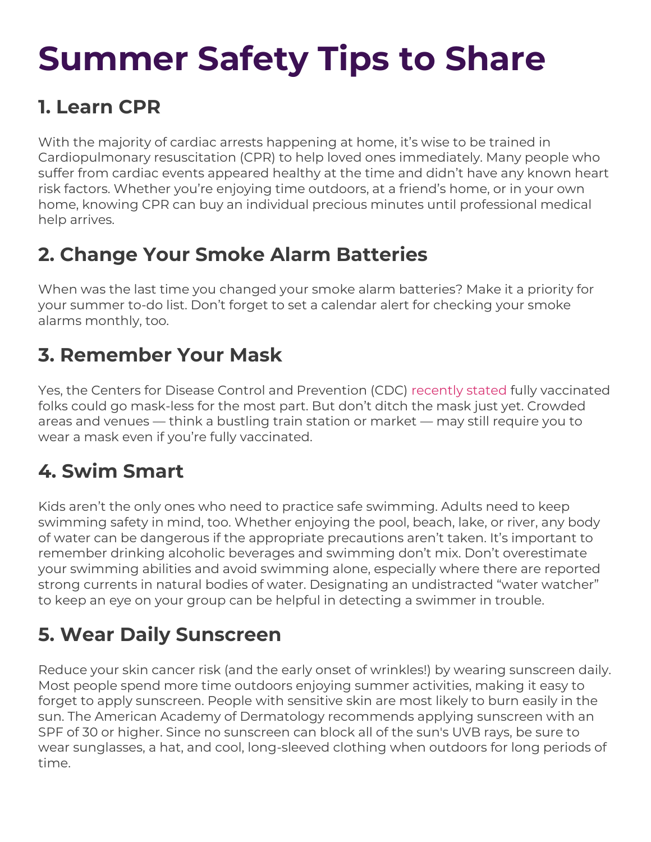# **Summer Safety Tips to Share**

## **1. Learn CPR**

With the majority of cardiac arrests happening at home, it's wise to be trained in Cardiopulmonary resuscitation (CPR) to help loved ones immediately. Many people who suffer from cardiac events appeared healthy at the time and didn't have any known heart risk factors. Whether you're enjoying time outdoors, at a friend's home, or in your own home, knowing CPR can buy an individual precious minutes until professional medical help arrives.

# **2. Change Your Smoke Alarm Batteries**

When was the last time you changed your smoke alarm batteries? Make it a priority for your summer to-do list. Don't forget to set a calendar alert for checking your smoke alarms monthly, too.

## **3. Remember Your Mask**

Yes, the Centers for Disease Control and Prevention (CDC) [recently stated](https://www.cdc.gov/coronavirus/2019-ncov/vaccines/fully-vaccinated.html) fully vaccinated folks could go mask-less for the most part. But don't ditch the mask just yet. Crowded areas and venues — think a bustling train station or market — may still require you to wear a mask even if you're fully vaccinated.

# **4. Swim Smart**

Kids aren't the only ones who need to practice safe swimming. Adults need to keep swimming safety in mind, too. Whether enjoying the pool, beach, lake, or river, any body of water can be dangerous if the appropriate precautions aren't taken. It's important to remember drinking alcoholic beverages and swimming don't mix. Don't overestimate your swimming abilities and avoid swimming alone, especially where there are reported strong currents in natural bodies of water. Designating an undistracted "water watcher" to keep an eye on your group can be helpful in detecting a swimmer in trouble.

# **5. Wear Daily Sunscreen**

Reduce your skin cancer risk (and the early onset of wrinkles!) by wearing sunscreen daily. Most people spend more time outdoors enjoying summer activities, making it easy to forget to apply sunscreen. People with sensitive skin are most likely to burn easily in the sun. The American Academy of Dermatology recommends applying sunscreen with an SPF of 30 or higher. Since no sunscreen can block all of the sun's UVB rays, be sure to wear sunglasses, a hat, and cool, long-sleeved clothing when outdoors for long periods of time.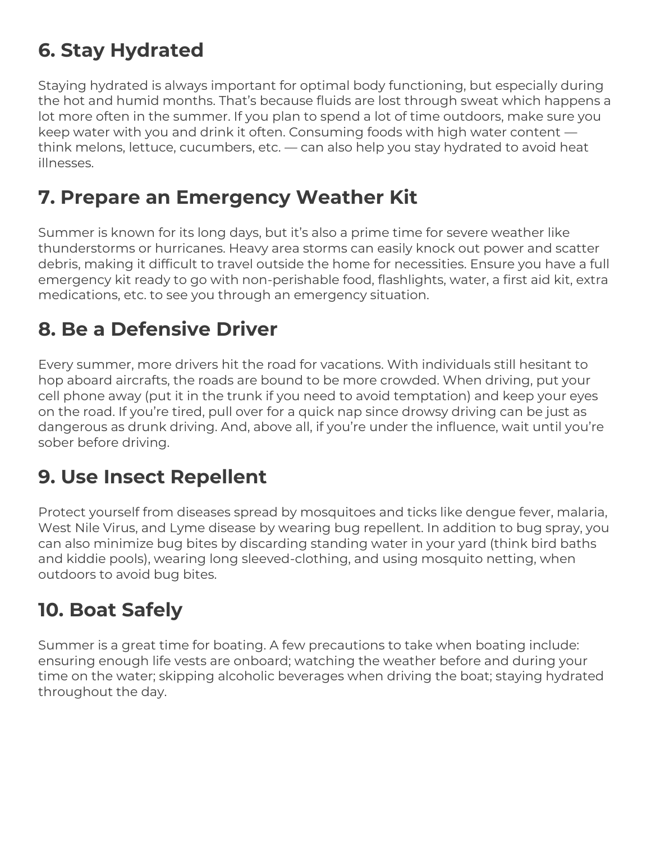# **6. Stay Hydrated**

Staying hydrated is always important for optimal body functioning, but especially during the hot and humid months. That's because fluids are lost through sweat which happens a lot more often in the summer. If you plan to spend a lot of time outdoors, make sure you keep water with you and drink it often. Consuming foods with high water content think melons, lettuce, cucumbers, etc. — can also help you stay hydrated to avoid heat illnesses.

#### **7. Prepare an Emergency Weather Kit**

Summer is known for its long days, but it's also a prime time for severe weather like thunderstorms or hurricanes. Heavy area storms can easily knock out power and scatter debris, making it difficult to travel outside the home for necessities. Ensure you have a full emergency kit ready to go with non-perishable food, flashlights, water, a first aid kit, extra medications, etc. to see you through an emergency situation.

# **8. Be a Defensive Driver**

Every summer, more drivers hit the road for vacations. With individuals still hesitant to hop aboard aircrafts, the roads are bound to be more crowded. When driving, put your cell phone away (put it in the trunk if you need to avoid temptation) and keep your eyes on the road. If you're tired, pull over for a quick nap since drowsy driving can be just as dangerous as drunk driving. And, above all, if you're under the influence, wait until you're sober before driving.

# **9. Use Insect Repellent**

Protect yourself from diseases spread by mosquitoes and ticks like dengue fever, malaria, West Nile Virus, and Lyme disease by wearing bug repellent. In addition to bug spray, you can also minimize bug bites by discarding standing water in your yard (think bird baths and kiddie pools), wearing long sleeved-clothing, and using mosquito netting, when outdoors to avoid bug bites.

# **10. Boat Safely**

Summer is a great time for boating. A few precautions to take when boating include: ensuring enough life vests are onboard; watching the weather before and during your time on the water; skipping alcoholic beverages when driving the boat; staying hydrated throughout the day.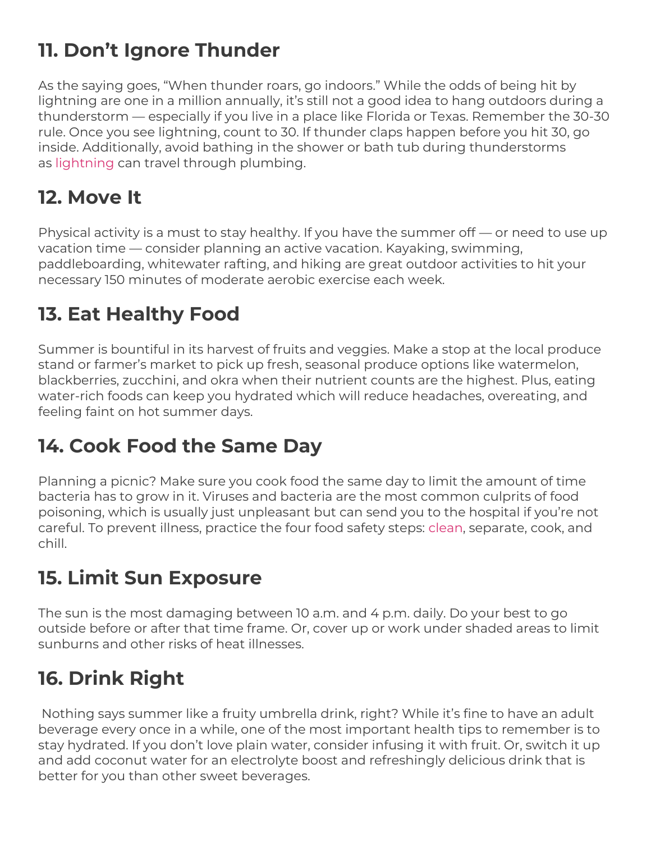# **11. Don't Ignore Thunder**

As the saying goes, "When thunder roars, go indoors." While the odds of being hit by lightning are one in a million annually, it's still not a good idea to hang outdoors during a thunderstorm — especially if you live in a place like Florida or Texas. Remember the 30-30 rule. Once you see lightning, count to 30. If thunder claps happen before you hit 30, go inside. Additionally, avoid bathing in the shower or bath tub during thunderstorms as [lightning](https://www.cdc.gov/nceh/features/lightning-safety/index.html) can travel through plumbing.

## **12. Move It**

Physical activity is a must to stay healthy. If you have the summer off — or need to use up vacation time — consider planning an active vacation. Kayaking, swimming, paddleboarding, whitewater rafting, and hiking are great outdoor activities to hit your necessary 150 minutes of moderate aerobic exercise each week.

# **13. Eat Healthy Food**

Summer is bountiful in its harvest of fruits and veggies. Make a stop at the local produce stand or farmer's market to pick up fresh, seasonal produce options like watermelon, blackberries, zucchini, and okra when their nutrient counts are the highest. Plus, eating water-rich foods can keep you hydrated which will reduce headaches, overeating, and feeling faint on hot summer days.

#### **14. Cook Food the Same Day**

Planning a picnic? Make sure you cook food the same day to limit the amount of time bacteria has to grow in it. Viruses and bacteria are the most common culprits of food poisoning, which is usually just unpleasant but can send you to the hospital if you're not careful. To prevent illness, practice the four food safety steps: [clean,](https://www.foodsafety.gov/keep-food-safe/4-steps-to-food-safety#clean) separate, cook, and chill.

#### **15. Limit Sun Exposure**

The sun is the most damaging between 10 a.m. and 4 p.m. daily. Do your best to go outside before or after that time frame. Or, cover up or work under shaded areas to limit sunburns and other risks of heat illnesses.

# **16. Drink Right**

Nothing says summer like a fruity umbrella drink, right? While it's fine to have an adult beverage every once in a while, one of the most important health tips to remember is to stay hydrated. If you don't love plain water, consider infusing it with fruit. Or, switch it up and add coconut water for an electrolyte boost and refreshingly delicious drink that is better for you than other sweet beverages.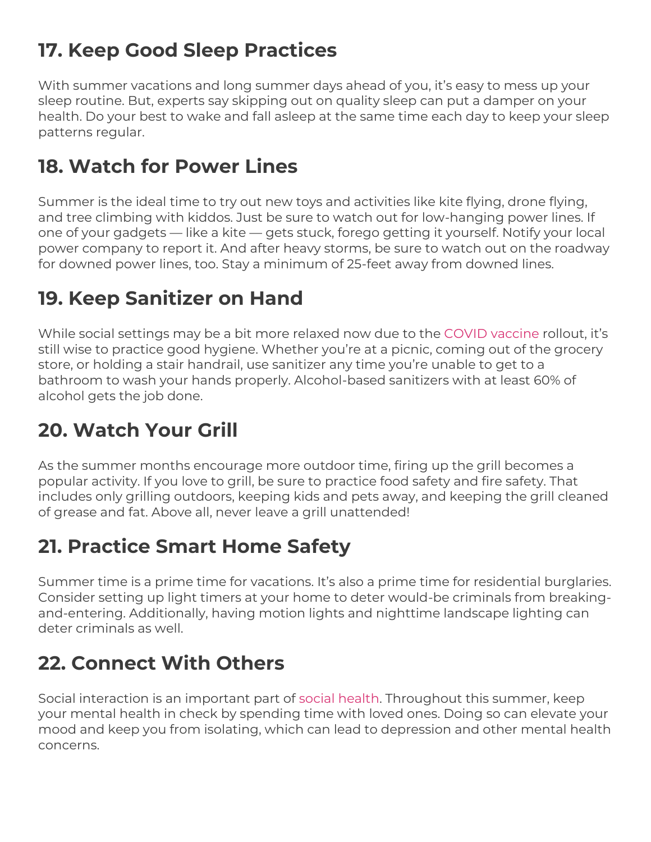# **17. Keep Good Sleep Practices**

With summer vacations and long summer days ahead of you, it's easy to mess up your sleep routine. But, experts say skipping out on quality sleep can put a damper on your health. Do your best to wake and fall asleep at the same time each day to keep your sleep patterns regular.

#### **18. Watch for Power Lines**

Summer is the ideal time to try out new toys and activities like kite flying, drone flying, and tree climbing with kiddos. Just be sure to watch out for low-hanging power lines. If one of your gadgets — like a kite — gets stuck, forego getting it yourself. Notify your local power company to report it. And after heavy storms, be sure to watch out on the roadway for downed power lines, too. Stay a minimum of 25-feet away from downed lines.

#### **19. Keep Sanitizer on Hand**

While social settings may be a bit more relaxed now due to the COVID vaccine rollout, it's still wise to practice good hygiene. Whether you're at a picnic, coming out of the grocery store, or holding a stair handrail, use sanitizer any time you're unable to get to a bathroom to wash your hands properly. Alcohol-based sanitizers with at least 60% of alcohol gets the job done.

# **20. Watch Your Grill**

As the summer months encourage more outdoor time, firing up the grill becomes a popular activity. If you love to grill, be sure to practice food safety and fire safety. That includes only grilling outdoors, keeping kids and pets away, and keeping the grill cleaned of grease and fat. Above all, never leave a grill unattended!

#### **21. Practice Smart Home Safety**

Summer time is a prime time for vacations. It's also a prime time for residential burglaries. Consider setting up light timers at your home to deter would-be criminals from breakingand-entering. Additionally, having motion lights and nighttime landscape lighting can deter criminals as well.

# **22. Connect With Others**

Social interaction is an important part of social health. Throughout this summer, keep your mental health in check by spending time with loved ones. Doing so can elevate your mood and keep you from isolating, which can lead to depression and other mental health concerns.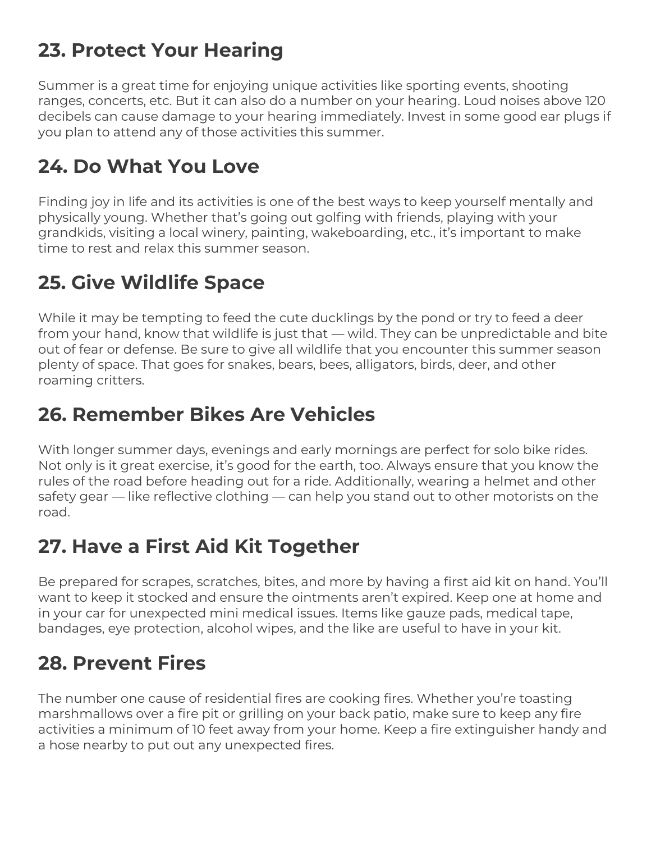## **23. Protect Your Hearing**

Summer is a great time for enjoying unique activities like sporting events, shooting ranges, concerts, etc. But it can also do a number on your hearing. Loud noises above 120 decibels can cause damage to your hearing immediately. Invest in some good ear plugs if you plan to attend any of those activities this summer.

## **24. Do What You Love**

Finding joy in life and its activities is one of the best ways to keep yourself mentally and physically young. Whether that's going out golfing with friends, playing with your grandkids, visiting a local winery, painting, wakeboarding, etc., it's important to make time to rest and relax this summer season.

# **25. Give Wildlife Space**

While it may be tempting to feed the cute ducklings by the pond or try to feed a deer from your hand, know that wildlife is just that — wild. They can be unpredictable and bite out of fear or defense. Be sure to give all wildlife that you encounter this summer season plenty of space. That goes for snakes, bears, bees, alligators, birds, deer, and other roaming critters.

# **26. Remember Bikes Are Vehicles**

With longer summer days, evenings and early mornings are perfect for solo bike rides. Not only is it great exercise, it's good for the earth, too. Always ensure that you know the rules of the road before heading out for a ride. Additionally, wearing a helmet and other safety gear — like reflective clothing — can help you stand out to other motorists on the road.

# **27. Have a First Aid Kit Together**

Be prepared for scrapes, scratches, bites, and more by having a first aid kit on hand. You'll want to keep it stocked and ensure the ointments aren't expired. Keep one at home and in your car for unexpected mini medical issues. Items like gauze pads, medical tape, bandages, eye protection, alcohol wipes, and the like are useful to have in your kit.

# **28. Prevent Fires**

The number one cause of residential fires are cooking fires. Whether you're toasting marshmallows over a fire pit or grilling on your back patio, make sure to keep any fire activities a minimum of 10 feet away from your home. Keep a fire extinguisher handy and a hose nearby to put out any unexpected fires.